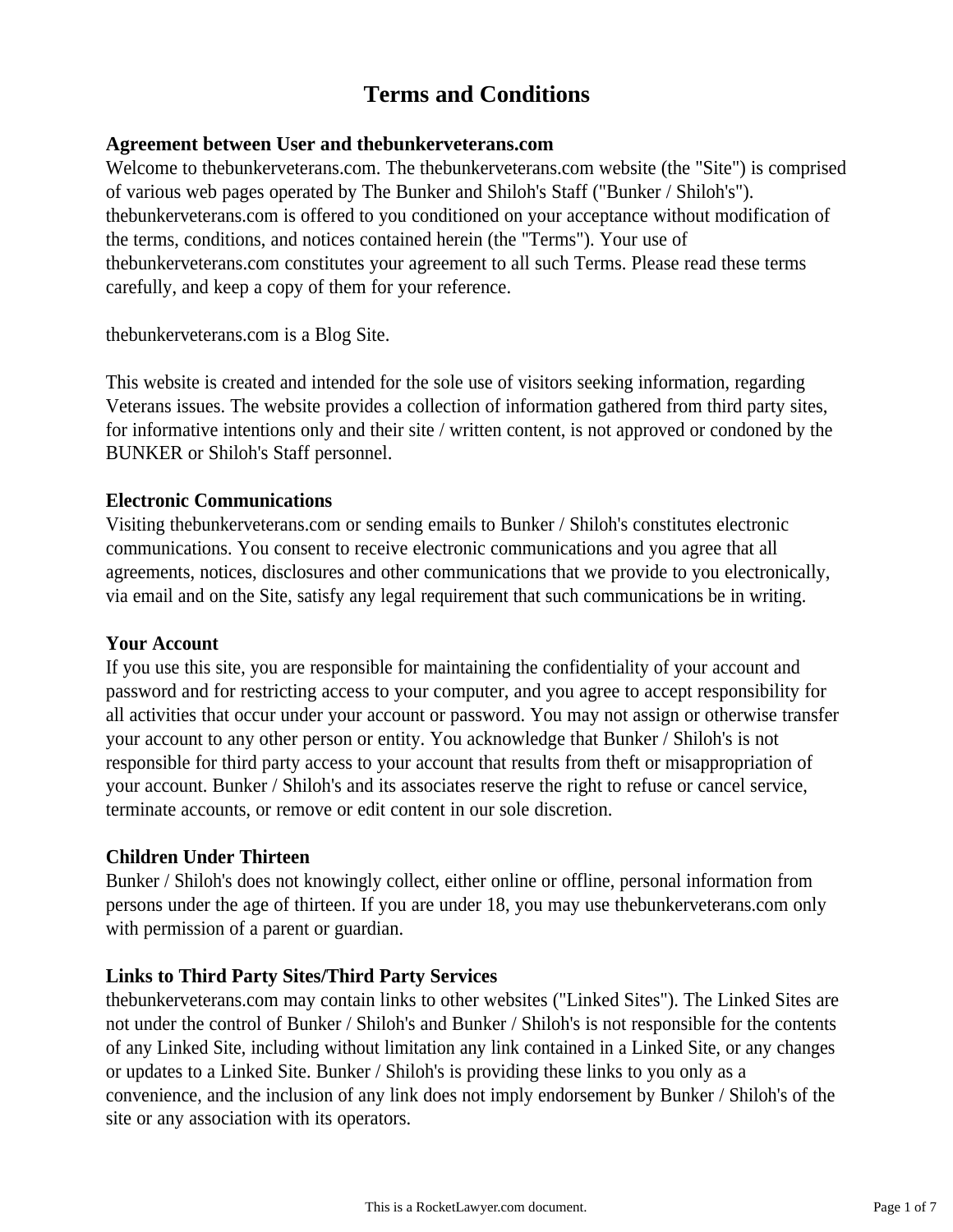# **Terms and Conditions**

#### **Agreement between User and thebunkerveterans.com**

Welcome to thebunkerveterans.com. The thebunkerveterans.com website (the "Site") is comprised of various web pages operated by The Bunker and Shiloh's Staff ("Bunker / Shiloh's"). thebunkerveterans.com is offered to you conditioned on your acceptance without modification of the terms, conditions, and notices contained herein (the "Terms"). Your use of thebunkerveterans.com constitutes your agreement to all such Terms. Please read these terms carefully, and keep a copy of them for your reference.

thebunkerveterans.com is a Blog Site.

This website is created and intended for the sole use of visitors seeking information, regarding Veterans issues. The website provides a collection of information gathered from third party sites, for informative intentions only and their site / written content, is not approved or condoned by the BUNKER or Shiloh's Staff personnel.

#### **Electronic Communications**

Visiting thebunkerveterans.com or sending emails to Bunker / Shiloh's constitutes electronic communications. You consent to receive electronic communications and you agree that all agreements, notices, disclosures and other communications that we provide to you electronically, via email and on the Site, satisfy any legal requirement that such communications be in writing.

#### **Your Account**

If you use this site, you are responsible for maintaining the confidentiality of your account and password and for restricting access to your computer, and you agree to accept responsibility for all activities that occur under your account or password. You may not assign or otherwise transfer your account to any other person or entity. You acknowledge that Bunker / Shiloh's is not responsible for third party access to your account that results from theft or misappropriation of your account. Bunker / Shiloh's and its associates reserve the right to refuse or cancel service, terminate accounts, or remove or edit content in our sole discretion.

#### **Children Under Thirteen**

Bunker / Shiloh's does not knowingly collect, either online or offline, personal information from persons under the age of thirteen. If you are under 18, you may use thebunkerveterans.com only with permission of a parent or guardian.

#### **Links to Third Party Sites/Third Party Services**

thebunkerveterans.com may contain links to other websites ("Linked Sites"). The Linked Sites are not under the control of Bunker / Shiloh's and Bunker / Shiloh's is not responsible for the contents of any Linked Site, including without limitation any link contained in a Linked Site, or any changes or updates to a Linked Site. Bunker / Shiloh's is providing these links to you only as a convenience, and the inclusion of any link does not imply endorsement by Bunker / Shiloh's of the site or any association with its operators.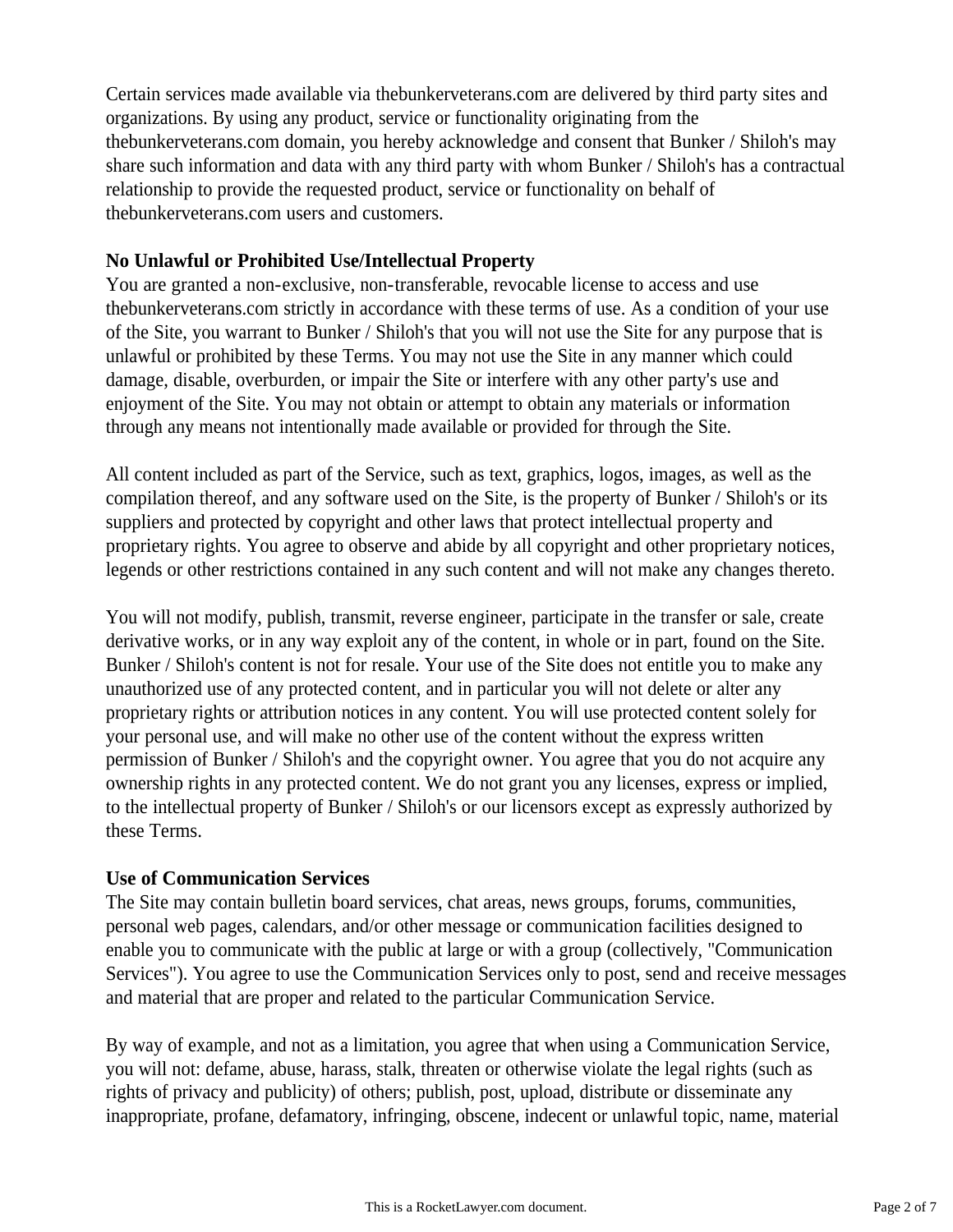Certain services made available via thebunkerveterans.com are delivered by third party sites and organizations. By using any product, service or functionality originating from the thebunkerveterans.com domain, you hereby acknowledge and consent that Bunker / Shiloh's may share such information and data with any third party with whom Bunker / Shiloh's has a contractual relationship to provide the requested product, service or functionality on behalf of thebunkerveterans.com users and customers.

# **No Unlawful or Prohibited Use/Intellectual Property**

You are granted a non-exclusive, non-transferable, revocable license to access and use thebunkerveterans.com strictly in accordance with these terms of use. As a condition of your use of the Site, you warrant to Bunker / Shiloh's that you will not use the Site for any purpose that is unlawful or prohibited by these Terms. You may not use the Site in any manner which could damage, disable, overburden, or impair the Site or interfere with any other party's use and enjoyment of the Site. You may not obtain or attempt to obtain any materials or information through any means not intentionally made available or provided for through the Site.

All content included as part of the Service, such as text, graphics, logos, images, as well as the compilation thereof, and any software used on the Site, is the property of Bunker / Shiloh's or its suppliers and protected by copyright and other laws that protect intellectual property and proprietary rights. You agree to observe and abide by all copyright and other proprietary notices, legends or other restrictions contained in any such content and will not make any changes thereto.

You will not modify, publish, transmit, reverse engineer, participate in the transfer or sale, create derivative works, or in any way exploit any of the content, in whole or in part, found on the Site. Bunker / Shiloh's content is not for resale. Your use of the Site does not entitle you to make any unauthorized use of any protected content, and in particular you will not delete or alter any proprietary rights or attribution notices in any content. You will use protected content solely for your personal use, and will make no other use of the content without the express written permission of Bunker / Shiloh's and the copyright owner. You agree that you do not acquire any ownership rights in any protected content. We do not grant you any licenses, express or implied, to the intellectual property of Bunker / Shiloh's or our licensors except as expressly authorized by these Terms.

# **Use of Communication Services**

The Site may contain bulletin board services, chat areas, news groups, forums, communities, personal web pages, calendars, and/or other message or communication facilities designed to enable you to communicate with the public at large or with a group (collectively, "Communication Services"). You agree to use the Communication Services only to post, send and receive messages and material that are proper and related to the particular Communication Service.

By way of example, and not as a limitation, you agree that when using a Communication Service, you will not: defame, abuse, harass, stalk, threaten or otherwise violate the legal rights (such as rights of privacy and publicity) of others; publish, post, upload, distribute or disseminate any inappropriate, profane, defamatory, infringing, obscene, indecent or unlawful topic, name, material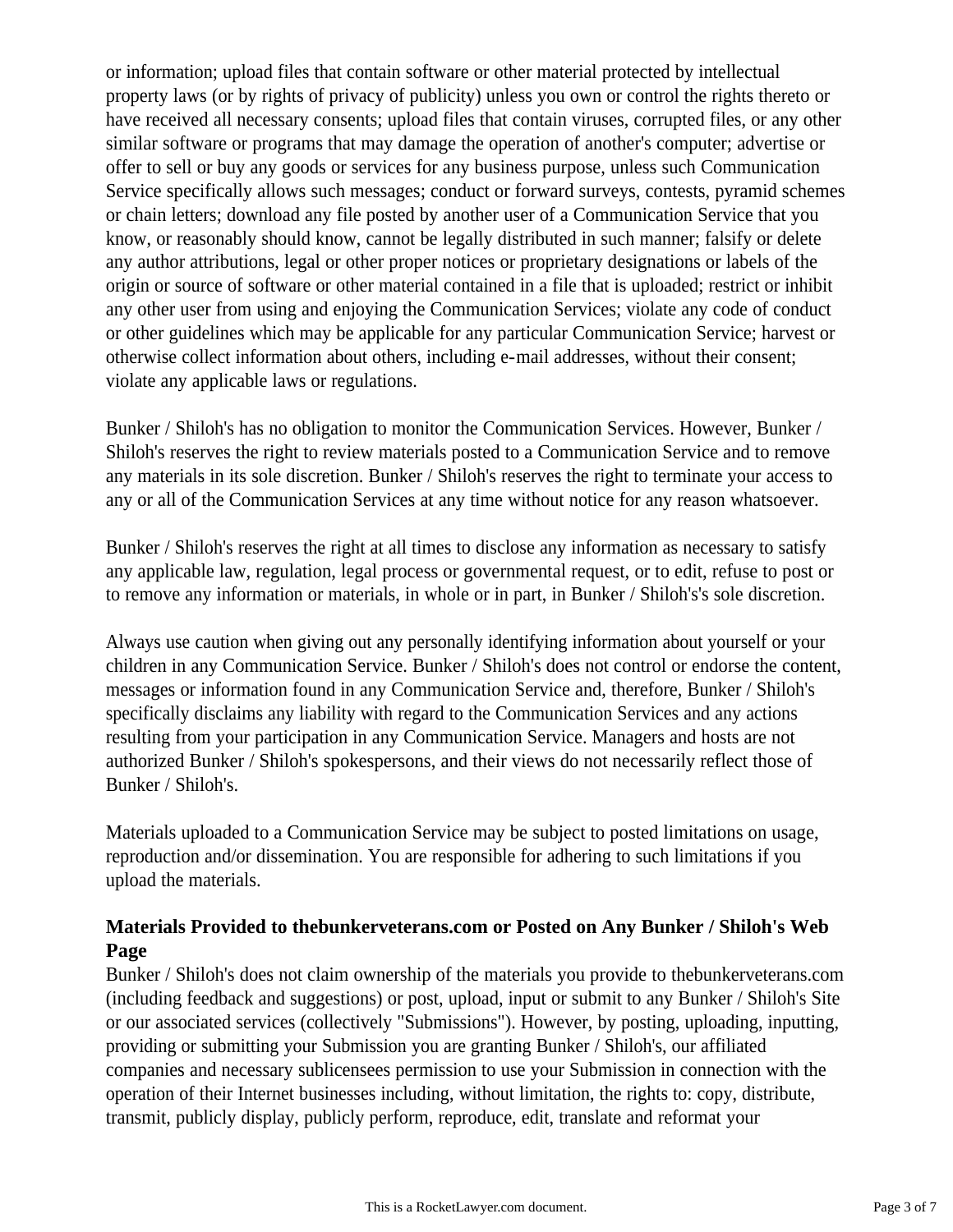or information; upload files that contain software or other material protected by intellectual property laws (or by rights of privacy of publicity) unless you own or control the rights thereto or have received all necessary consents; upload files that contain viruses, corrupted files, or any other similar software or programs that may damage the operation of another's computer; advertise or offer to sell or buy any goods or services for any business purpose, unless such Communication Service specifically allows such messages; conduct or forward surveys, contests, pyramid schemes or chain letters; download any file posted by another user of a Communication Service that you know, or reasonably should know, cannot be legally distributed in such manner; falsify or delete any author attributions, legal or other proper notices or proprietary designations or labels of the origin or source of software or other material contained in a file that is uploaded; restrict or inhibit any other user from using and enjoying the Communication Services; violate any code of conduct or other guidelines which may be applicable for any particular Communication Service; harvest or otherwise collect information about others, including e-mail addresses, without their consent; violate any applicable laws or regulations.

Bunker / Shiloh's has no obligation to monitor the Communication Services. However, Bunker / Shiloh's reserves the right to review materials posted to a Communication Service and to remove any materials in its sole discretion. Bunker / Shiloh's reserves the right to terminate your access to any or all of the Communication Services at any time without notice for any reason whatsoever.

Bunker / Shiloh's reserves the right at all times to disclose any information as necessary to satisfy any applicable law, regulation, legal process or governmental request, or to edit, refuse to post or to remove any information or materials, in whole or in part, in Bunker / Shiloh's's sole discretion.

Always use caution when giving out any personally identifying information about yourself or your children in any Communication Service. Bunker / Shiloh's does not control or endorse the content, messages or information found in any Communication Service and, therefore, Bunker / Shiloh's specifically disclaims any liability with regard to the Communication Services and any actions resulting from your participation in any Communication Service. Managers and hosts are not authorized Bunker / Shiloh's spokespersons, and their views do not necessarily reflect those of Bunker / Shiloh's.

Materials uploaded to a Communication Service may be subject to posted limitations on usage, reproduction and/or dissemination. You are responsible for adhering to such limitations if you upload the materials.

# **Materials Provided to thebunkerveterans.com or Posted on Any Bunker / Shiloh's Web Page**

Bunker / Shiloh's does not claim ownership of the materials you provide to thebunkerveterans.com (including feedback and suggestions) or post, upload, input or submit to any Bunker / Shiloh's Site or our associated services (collectively "Submissions"). However, by posting, uploading, inputting, providing or submitting your Submission you are granting Bunker / Shiloh's, our affiliated companies and necessary sublicensees permission to use your Submission in connection with the operation of their Internet businesses including, without limitation, the rights to: copy, distribute, transmit, publicly display, publicly perform, reproduce, edit, translate and reformat your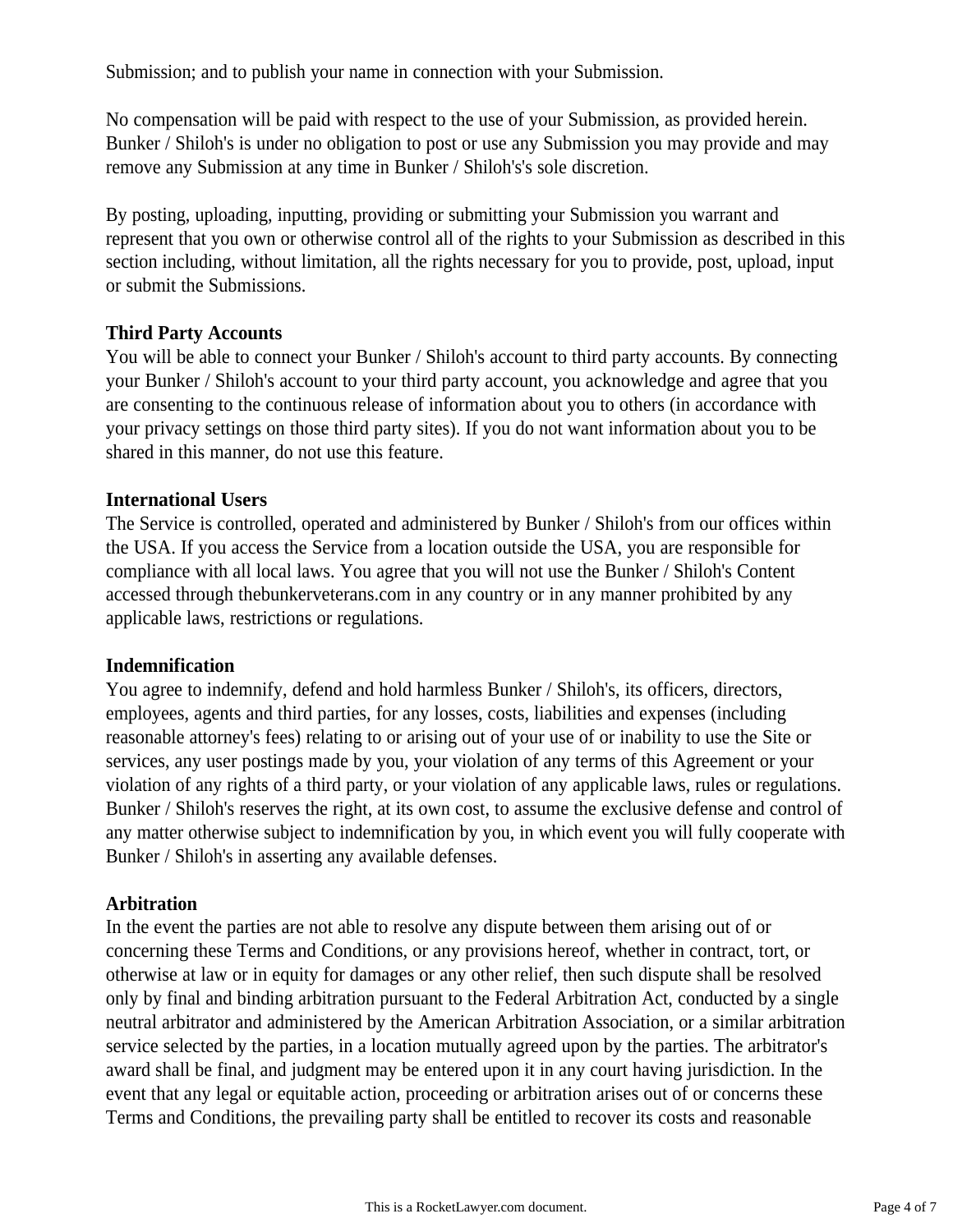Submission; and to publish your name in connection with your Submission.

No compensation will be paid with respect to the use of your Submission, as provided herein. Bunker / Shiloh's is under no obligation to post or use any Submission you may provide and may remove any Submission at any time in Bunker / Shiloh's's sole discretion.

By posting, uploading, inputting, providing or submitting your Submission you warrant and represent that you own or otherwise control all of the rights to your Submission as described in this section including, without limitation, all the rights necessary for you to provide, post, upload, input or submit the Submissions.

#### **Third Party Accounts**

You will be able to connect your Bunker / Shiloh's account to third party accounts. By connecting your Bunker / Shiloh's account to your third party account, you acknowledge and agree that you are consenting to the continuous release of information about you to others (in accordance with your privacy settings on those third party sites). If you do not want information about you to be shared in this manner, do not use this feature.

## **International Users**

The Service is controlled, operated and administered by Bunker / Shiloh's from our offices within the USA. If you access the Service from a location outside the USA, you are responsible for compliance with all local laws. You agree that you will not use the Bunker / Shiloh's Content accessed through thebunkerveterans.com in any country or in any manner prohibited by any applicable laws, restrictions or regulations.

#### **Indemnification**

You agree to indemnify, defend and hold harmless Bunker / Shiloh's, its officers, directors, employees, agents and third parties, for any losses, costs, liabilities and expenses (including reasonable attorney's fees) relating to or arising out of your use of or inability to use the Site or services, any user postings made by you, your violation of any terms of this Agreement or your violation of any rights of a third party, or your violation of any applicable laws, rules or regulations. Bunker / Shiloh's reserves the right, at its own cost, to assume the exclusive defense and control of any matter otherwise subject to indemnification by you, in which event you will fully cooperate with Bunker / Shiloh's in asserting any available defenses.

#### **Arbitration**

In the event the parties are not able to resolve any dispute between them arising out of or concerning these Terms and Conditions, or any provisions hereof, whether in contract, tort, or otherwise at law or in equity for damages or any other relief, then such dispute shall be resolved only by final and binding arbitration pursuant to the Federal Arbitration Act, conducted by a single neutral arbitrator and administered by the American Arbitration Association, or a similar arbitration service selected by the parties, in a location mutually agreed upon by the parties. The arbitrator's award shall be final, and judgment may be entered upon it in any court having jurisdiction. In the event that any legal or equitable action, proceeding or arbitration arises out of or concerns these Terms and Conditions, the prevailing party shall be entitled to recover its costs and reasonable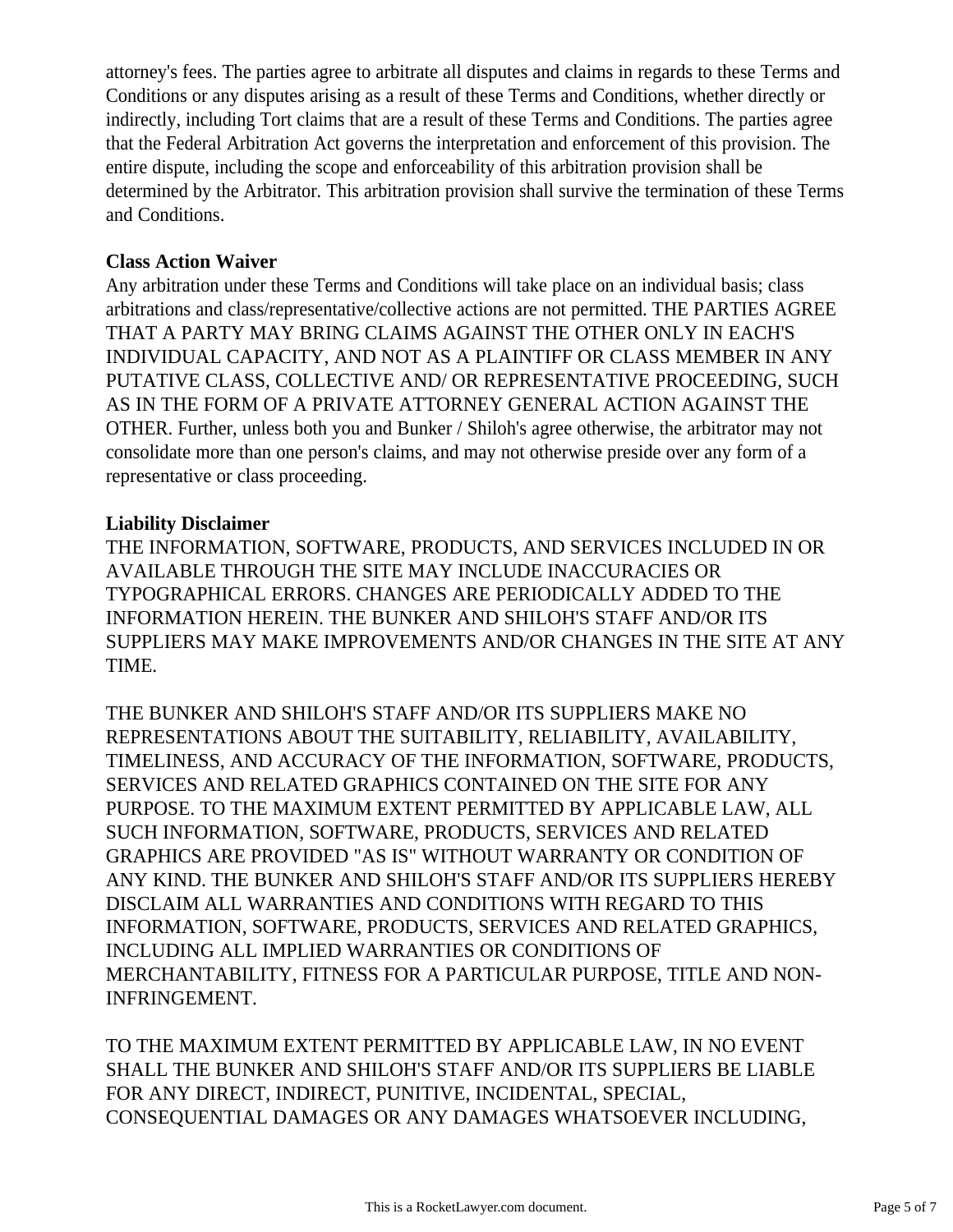attorney's fees. The parties agree to arbitrate all disputes and claims in regards to these Terms and Conditions or any disputes arising as a result of these Terms and Conditions, whether directly or indirectly, including Tort claims that are a result of these Terms and Conditions. The parties agree that the Federal Arbitration Act governs the interpretation and enforcement of this provision. The entire dispute, including the scope and enforceability of this arbitration provision shall be determined by the Arbitrator. This arbitration provision shall survive the termination of these Terms and Conditions.

#### **Class Action Waiver**

Any arbitration under these Terms and Conditions will take place on an individual basis; class arbitrations and class/representative/collective actions are not permitted. THE PARTIES AGREE THAT A PARTY MAY BRING CLAIMS AGAINST THE OTHER ONLY IN EACH'S INDIVIDUAL CAPACITY, AND NOT AS A PLAINTIFF OR CLASS MEMBER IN ANY PUTATIVE CLASS, COLLECTIVE AND/ OR REPRESENTATIVE PROCEEDING, SUCH AS IN THE FORM OF A PRIVATE ATTORNEY GENERAL ACTION AGAINST THE OTHER. Further, unless both you and Bunker / Shiloh's agree otherwise, the arbitrator may not consolidate more than one person's claims, and may not otherwise preside over any form of a representative or class proceeding.

## **Liability Disclaimer**

THE INFORMATION, SOFTWARE, PRODUCTS, AND SERVICES INCLUDED IN OR AVAILABLE THROUGH THE SITE MAY INCLUDE INACCURACIES OR TYPOGRAPHICAL ERRORS. CHANGES ARE PERIODICALLY ADDED TO THE INFORMATION HEREIN. THE BUNKER AND SHILOH'S STAFF AND/OR ITS SUPPLIERS MAY MAKE IMPROVEMENTS AND/OR CHANGES IN THE SITE AT ANY TIME.

THE BUNKER AND SHILOH'S STAFF AND/OR ITS SUPPLIERS MAKE NO REPRESENTATIONS ABOUT THE SUITABILITY, RELIABILITY, AVAILABILITY, TIMELINESS, AND ACCURACY OF THE INFORMATION, SOFTWARE, PRODUCTS, SERVICES AND RELATED GRAPHICS CONTAINED ON THE SITE FOR ANY PURPOSE. TO THE MAXIMUM EXTENT PERMITTED BY APPLICABLE LAW, ALL SUCH INFORMATION, SOFTWARE, PRODUCTS, SERVICES AND RELATED GRAPHICS ARE PROVIDED "AS IS" WITHOUT WARRANTY OR CONDITION OF ANY KIND. THE BUNKER AND SHILOH'S STAFF AND/OR ITS SUPPLIERS HEREBY DISCLAIM ALL WARRANTIES AND CONDITIONS WITH REGARD TO THIS INFORMATION, SOFTWARE, PRODUCTS, SERVICES AND RELATED GRAPHICS, INCLUDING ALL IMPLIED WARRANTIES OR CONDITIONS OF MERCHANTABILITY, FITNESS FOR A PARTICULAR PURPOSE, TITLE AND NON-INFRINGEMENT.

TO THE MAXIMUM EXTENT PERMITTED BY APPLICABLE LAW, IN NO EVENT SHALL THE BUNKER AND SHILOH'S STAFF AND/OR ITS SUPPLIERS BE LIABLE FOR ANY DIRECT, INDIRECT, PUNITIVE, INCIDENTAL, SPECIAL, CONSEQUENTIAL DAMAGES OR ANY DAMAGES WHATSOEVER INCLUDING,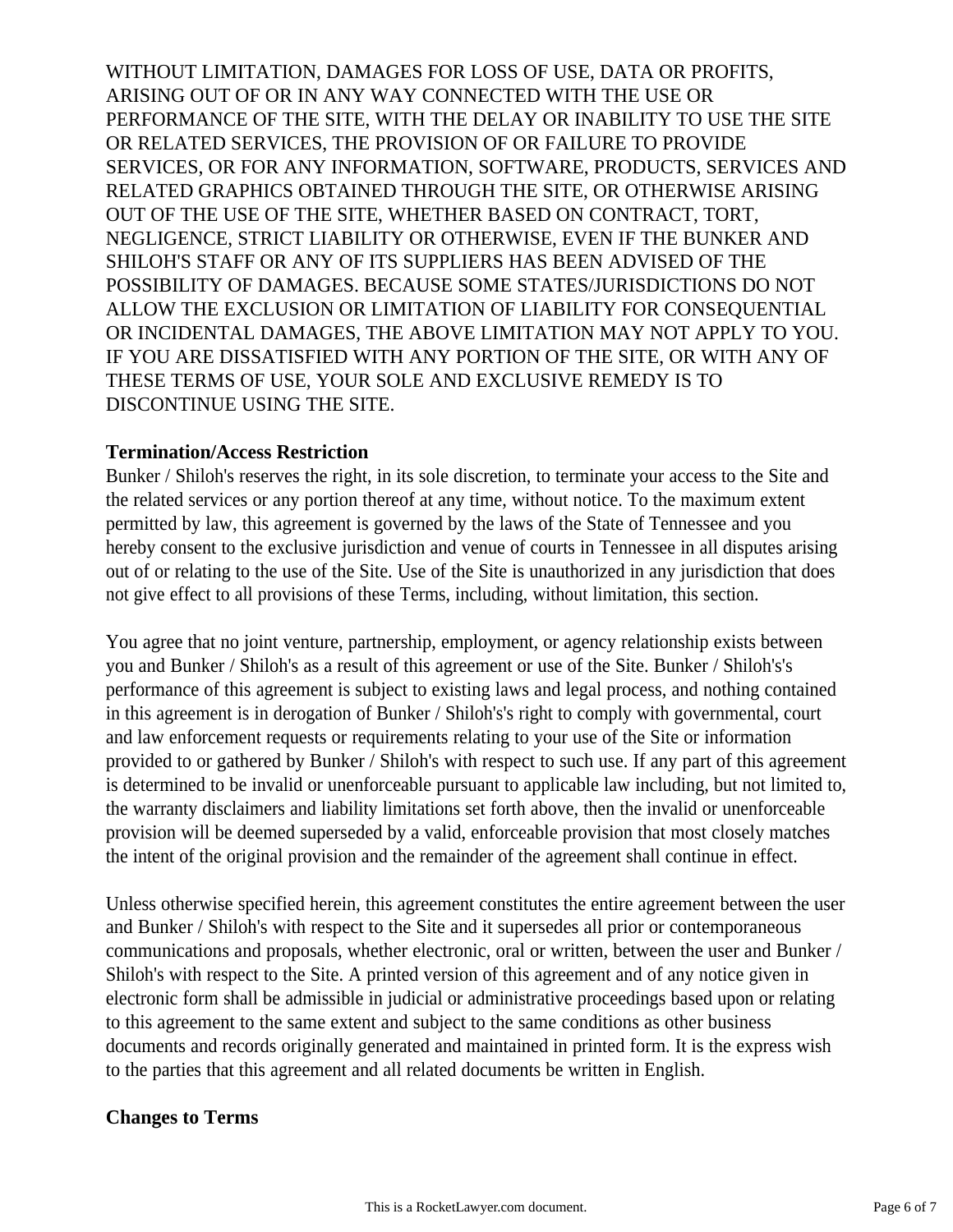WITHOUT LIMITATION, DAMAGES FOR LOSS OF USE, DATA OR PROFITS, ARISING OUT OF OR IN ANY WAY CONNECTED WITH THE USE OR PERFORMANCE OF THE SITE, WITH THE DELAY OR INABILITY TO USE THE SITE OR RELATED SERVICES, THE PROVISION OF OR FAILURE TO PROVIDE SERVICES, OR FOR ANY INFORMATION, SOFTWARE, PRODUCTS, SERVICES AND RELATED GRAPHICS OBTAINED THROUGH THE SITE, OR OTHERWISE ARISING OUT OF THE USE OF THE SITE, WHETHER BASED ON CONTRACT, TORT, NEGLIGENCE, STRICT LIABILITY OR OTHERWISE, EVEN IF THE BUNKER AND SHILOH'S STAFF OR ANY OF ITS SUPPLIERS HAS BEEN ADVISED OF THE POSSIBILITY OF DAMAGES. BECAUSE SOME STATES/JURISDICTIONS DO NOT ALLOW THE EXCLUSION OR LIMITATION OF LIABILITY FOR CONSEQUENTIAL OR INCIDENTAL DAMAGES, THE ABOVE LIMITATION MAY NOT APPLY TO YOU. IF YOU ARE DISSATISFIED WITH ANY PORTION OF THE SITE, OR WITH ANY OF THESE TERMS OF USE, YOUR SOLE AND EXCLUSIVE REMEDY IS TO DISCONTINUE USING THE SITE.

#### **Termination/Access Restriction**

Bunker / Shiloh's reserves the right, in its sole discretion, to terminate your access to the Site and the related services or any portion thereof at any time, without notice. To the maximum extent permitted by law, this agreement is governed by the laws of the State of Tennessee and you hereby consent to the exclusive jurisdiction and venue of courts in Tennessee in all disputes arising out of or relating to the use of the Site. Use of the Site is unauthorized in any jurisdiction that does not give effect to all provisions of these Terms, including, without limitation, this section.

You agree that no joint venture, partnership, employment, or agency relationship exists between you and Bunker / Shiloh's as a result of this agreement or use of the Site. Bunker / Shiloh's's performance of this agreement is subject to existing laws and legal process, and nothing contained in this agreement is in derogation of Bunker / Shiloh's's right to comply with governmental, court and law enforcement requests or requirements relating to your use of the Site or information provided to or gathered by Bunker / Shiloh's with respect to such use. If any part of this agreement is determined to be invalid or unenforceable pursuant to applicable law including, but not limited to, the warranty disclaimers and liability limitations set forth above, then the invalid or unenforceable provision will be deemed superseded by a valid, enforceable provision that most closely matches the intent of the original provision and the remainder of the agreement shall continue in effect.

Unless otherwise specified herein, this agreement constitutes the entire agreement between the user and Bunker / Shiloh's with respect to the Site and it supersedes all prior or contemporaneous communications and proposals, whether electronic, oral or written, between the user and Bunker / Shiloh's with respect to the Site. A printed version of this agreement and of any notice given in electronic form shall be admissible in judicial or administrative proceedings based upon or relating to this agreement to the same extent and subject to the same conditions as other business documents and records originally generated and maintained in printed form. It is the express wish to the parties that this agreement and all related documents be written in English.

# **Changes to Terms**